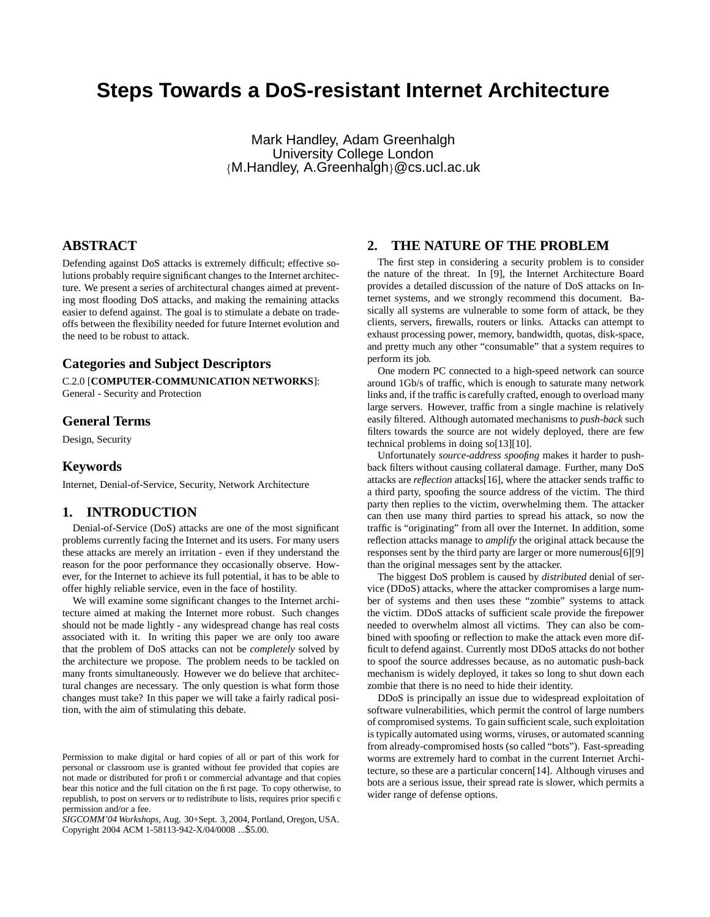# **Steps Towards a DoS-resistant Internet Architecture**

Mark Handley, Adam Greenhalgh University College London {M.Handley, A.Greenhalgh}@cs.ucl.ac.uk

# **ABSTRACT**

Defending against DoS attacks is extremely difficult; effective solutions probably require significant changes to the Internet architecture. We present a series of architectural changes aimed at preventing most flooding DoS attacks, and making the remaining attacks easier to defend against. The goal is to stimulate a debate on tradeoffs between the flexibility needed for future Internet evolution and the need to be robust to attack.

# **Categories and Subject Descriptors**

C.2.0 [**COMPUTER-COMMUNICATION NETWORKS**]: General - Security and Protection

### **General Terms**

Design, Security

### **Keywords**

Internet, Denial-of-Service, Security, Network Architecture

# **1. INTRODUCTION**

Denial-of-Service (DoS) attacks are one of the most significant problems currently facing the Internet and its users. For many users these attacks are merely an irritation - even if they understand the reason for the poor performance they occasionally observe. However, for the Internet to achieve its full potential, it has to be able to offer highly reliable service, even in the face of hostility.

We will examine some significant changes to the Internet architecture aimed at making the Internet more robust. Such changes should not be made lightly - any widespread change has real costs associated with it. In writing this paper we are only too aware that the problem of DoS attacks can not be *completely* solved by the architecture we propose. The problem needs to be tackled on many fronts simultaneously. However we do believe that architectural changes are necessary. The only question is what form those changes must take? In this paper we will take a fairly radical position, with the aim of stimulating this debate.

*SIGCOMM'04 Workshops,* Aug. 30+Sept. 3, 2004, Portland, Oregon, USA. Copyright 2004 ACM 1-58113-942-X/04/0008 ...\$5.00.

### **2. THE NATURE OF THE PROBLEM**

The first step in considering a security problem is to consider the nature of the threat. In [9], the Internet Architecture Board provides a detailed discussion of the nature of DoS attacks on Internet systems, and we strongly recommend this document. Basically all systems are vulnerable to some form of attack, be they clients, servers, firewalls, routers or links. Attacks can attempt to exhaust processing power, memory, bandwidth, quotas, disk-space, and pretty much any other "consumable" that a system requires to perform its job.

One modern PC connected to a high-speed network can source around 1Gb/s of traffic, which is enough to saturate many network links and, if the traffic is carefully crafted, enough to overload many large servers. However, traffic from a single machine is relatively easily filtered. Although automated mechanisms to *push-back* such filters towards the source are not widely deployed, there are few technical problems in doing so[13][10].

Unfortunately *source-address spoofing* makes it harder to pushback filters without causing collateral damage. Further, many DoS attacks are *reflection* attacks[16], where the attacker sends traffic to a third party, spoofing the source address of the victim. The third party then replies to the victim, overwhelming them. The attacker can then use many third parties to spread his attack, so now the traffic is "originating" from all over the Internet. In addition, some reflection attacks manage to *amplify* the original attack because the responses sent by the third party are larger or more numerous[6][9] than the original messages sent by the attacker.

The biggest DoS problem is caused by *distributed* denial of service (DDoS) attacks, where the attacker compromises a large number of systems and then uses these "zombie" systems to attack the victim. DDoS attacks of sufficient scale provide the firepower needed to overwhelm almost all victims. They can also be combined with spoofing or reflection to make the attack even more difficult to defend against. Currently most DDoS attacks do not bother to spoof the source addresses because, as no automatic push-back mechanism is widely deployed, it takes so long to shut down each zombie that there is no need to hide their identity.

DDoS is principally an issue due to widespread exploitation of software vulnerabilities, which permit the control of large numbers of compromised systems. To gain sufficient scale, such exploitation istypically automated using worms, viruses, or automated scanning from already-compromised hosts (so called "bots"). Fast-spreading worms are extremely hard to combat in the current Internet Architecture, so these are a particular concern[14]. Although viruses and bots are a serious issue, their spread rate is slower, which permits a wider range of defense options.

Permission to make digital or hard copies of all or part of this work for personal or classroom use is granted without fee provided that copies are not made or distributed for profit or commercial advantage and that copies bear this notice and the full citation on the first page. To copy otherwise, to republish, to post on servers or to redistribute to lists, requires prior specific permission and/or a fee.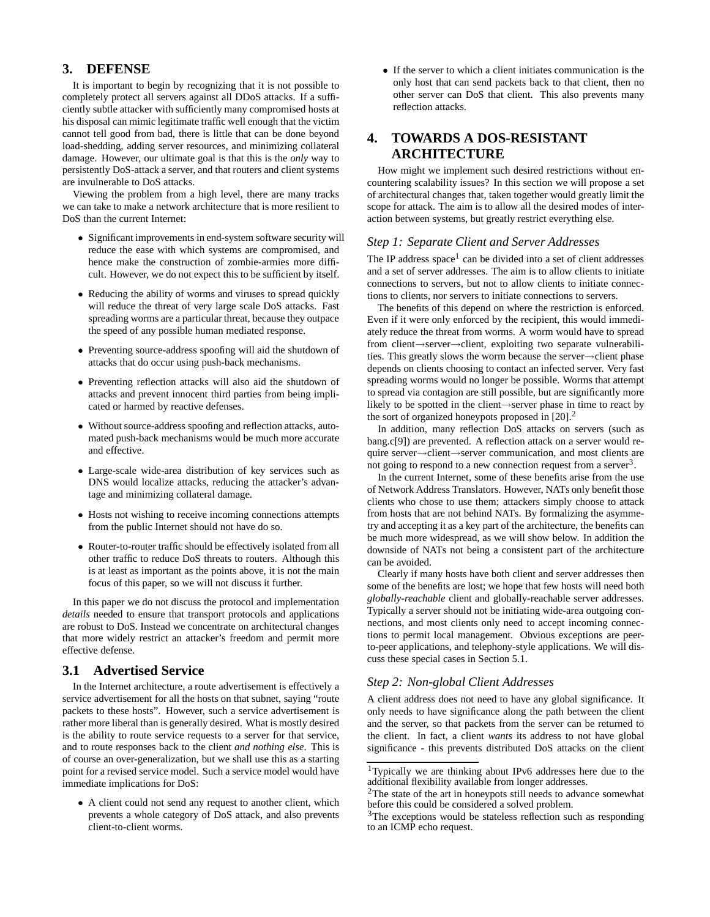# **3. DEFENSE**

It is important to begin by recognizing that it is not possible to completely protect all servers against all DDoS attacks. If a sufficiently subtle attacker with sufficiently many compromised hosts at his disposal can mimic legitimate traffic well enough that the victim cannot tell good from bad, there is little that can be done beyond load-shedding, adding server resources, and minimizing collateral damage. However, our ultimate goal is that this is the *only* way to persistently DoS-attack a server, and that routers and client systems are invulnerable to DoS attacks.

Viewing the problem from a high level, there are many tracks we can take to make a network architecture that is more resilient to DoS than the current Internet:

- Significant improvements in end-system software security will reduce the ease with which systems are compromised, and hence make the construction of zombie-armies more difficult. However, we do not expect this to be sufficient by itself.
- Reducing the ability of worms and viruses to spread quickly will reduce the threat of very large scale DoS attacks. Fast spreading worms are a particular threat, because they outpace the speed of any possible human mediated response.
- Preventing source-address spoofing will aid the shutdown of attacks that do occur using push-back mechanisms.
- Preventing reflection attacks will also aid the shutdown of attacks and prevent innocent third parties from being implicated or harmed by reactive defenses.
- Without source-address spoofing and reflection attacks, automated push-back mechanisms would be much more accurate and effective.
- Large-scale wide-area distribution of key services such as DNS would localize attacks, reducing the attacker's advantage and minimizing collateral damage.
- Hosts not wishing to receive incoming connections attempts from the public Internet should not have do so.
- Router-to-router traffic should be effectively isolated from all other traffic to reduce DoS threats to routers. Although this is at least as important as the points above, it is not the main focus of this paper, so we will not discuss it further.

In this paper we do not discuss the protocol and implementation *details* needed to ensure that transport protocols and applications are robust to DoS. Instead we concentrate on architectural changes that more widely restrict an attacker's freedom and permit more effective defense.

# **3.1 Advertised Service**

In the Internet architecture, a route advertisement is effectively a service advertisement for all the hosts on that subnet, saying "route packets to these hosts". However, such a service advertisement is rather more liberal than is generally desired. What is mostly desired is the ability to route service requests to a server for that service, and to route responses back to the client *and nothing else*. This is of course an over-generalization, but we shall use this as a starting point for a revised service model. Such a service model would have immediate implications for DoS:

• A client could not send any request to another client, which prevents a whole category of DoS attack, and also prevents client-to-client worms.

• If the server to which a client initiates communication is the only host that can send packets back to that client, then no other server can DoS that client. This also prevents many reflection attacks.

# **4. TOWARDS A DOS-RESISTANT ARCHITECTURE**

How might we implement such desired restrictions without encountering scalability issues? In this section we will propose a set of architectural changes that, taken together would greatly limit the scope for attack. The aim is to allow all the desired modes of interaction between systems, but greatly restrict everything else.

## *Step 1: Separate Client and Server Addresses*

The IP address space<sup>1</sup> can be divided into a set of client addresses and a set of server addresses. The aim is to allow clients to initiate connections to servers, but not to allow clients to initiate connections to clients, nor servers to initiate connections to servers.

The benefits of this depend on where the restriction is enforced. Even if it were only enforced by the recipient, this would immediately reduce the threat from worms. A worm would have to spread from client→server→client, exploiting two separate vulnerabilities. This greatly slows the worm because the server→client phase depends on clients choosing to contact an infected server. Very fast spreading worms would no longer be possible. Worms that attempt to spread via contagion are still possible, but are significantly more likely to be spotted in the client→server phase in time to react by the sort of organized honeypots proposed in  $[20]$ <sup>2</sup>

In addition, many reflection DoS attacks on servers (such as bang.c[9]) are prevented. A reflection attack on a server would require server→client→server communication, and most clients are not going to respond to a new connection request from a server<sup>3</sup>.

In the current Internet, some of these benefits arise from the use of Network Address Translators. However, NATs only benefit those clients who chose to use them; attackers simply choose to attack from hosts that are not behind NATs. By formalizing the asymmetry and accepting it as a key part of the architecture, the benefits can be much more widespread, as we will show below. In addition the downside of NATs not being a consistent part of the architecture can be avoided.

Clearly if many hosts have both client and server addresses then some of the benefits are lost; we hope that few hosts will need both *globally-reachable* client and globally-reachable server addresses. Typically a server should not be initiating wide-area outgoing connections, and most clients only need to accept incoming connections to permit local management. Obvious exceptions are peerto-peer applications, and telephony-style applications. We will discuss these special cases in Section 5.1.

# *Step 2: Non-global Client Addresses*

A client address does not need to have any global significance. It only needs to have significance along the path between the client and the server, so that packets from the server can be returned to the client. In fact, a client *wants* its address to not have global significance - this prevents distributed DoS attacks on the client

<sup>1</sup>Typically we are thinking about IPv6 addresses here due to the additional flexibility available from longer addresses.

<sup>2</sup>The state of the art in honeypots still needs to advance somewhat before this could be considered a solved problem.

<sup>&</sup>lt;sup>3</sup>The exceptions would be stateless reflection such as responding to an ICMP echo request.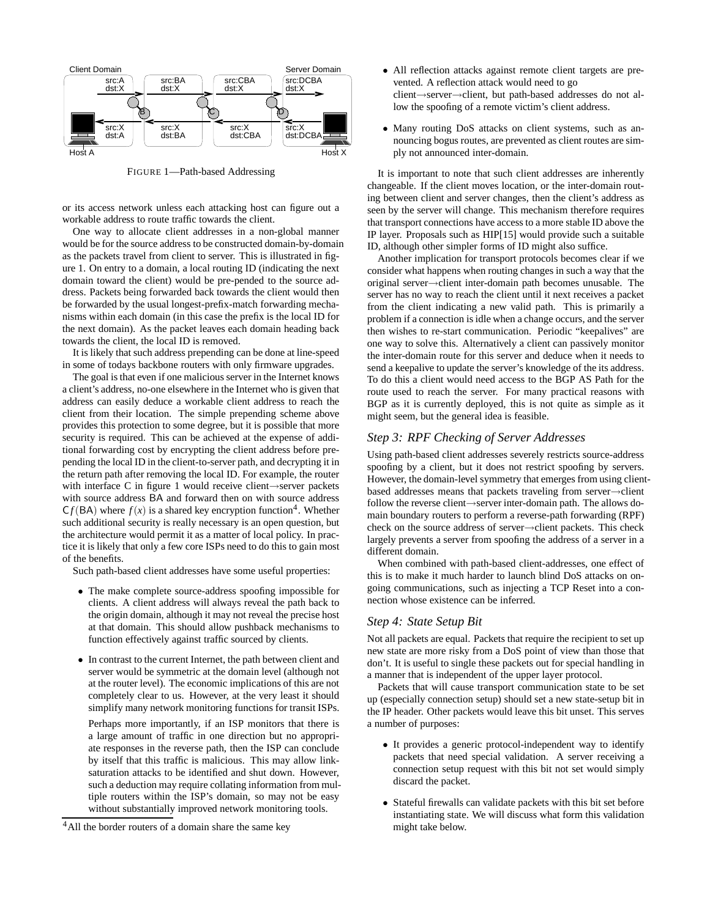

FIGURE 1—Path-based Addressing

or its access network unless each attacking host can figure out a workable address to route traffic towards the client.

One way to allocate client addresses in a non-global manner would be for the source address to be constructed domain-by-domain as the packets travel from client to server. This is illustrated in figure 1. On entry to a domain, a local routing ID (indicating the next domain toward the client) would be pre-pended to the source address. Packets being forwarded back towards the client would then be forwarded by the usual longest-prefix-match forwarding mechanisms within each domain (in this case the prefix is the local ID for the next domain). As the packet leaves each domain heading back towards the client, the local ID is removed.

It is likely that such address prepending can be done at line-speed in some of todays backbone routers with only firmware upgrades.

The goal is that even if one malicious server in the Internet knows a client's address, no-one elsewhere in the Internet who is given that address can easily deduce a workable client address to reach the client from their location. The simple prepending scheme above provides this protection to some degree, but it is possible that more security is required. This can be achieved at the expense of additional forwarding cost by encrypting the client address before prepending the local ID in the client-to-server path, and decrypting it in the return path after removing the local ID. For example, the router with interface C in figure 1 would receive client→server packets with source address BA and forward then on with source address  $C_f(BA)$  where  $f(x)$  is a shared key encryption function<sup>4</sup>. Whether such additional security is really necessary is an open question, but the architecture would permit it as a matter of local policy. In practice it is likely that only a few core ISPs need to do this to gain most of the benefits.

Such path-based client addresses have some useful properties:

- The make complete source-address spoofing impossible for clients. A client address will always reveal the path back to the origin domain, although it may not reveal the precise host at that domain. This should allow pushback mechanisms to function effectively against traffic sourced by clients.
- In contrast to the current Internet, the path between client and server would be symmetric at the domain level (although not at the router level). The economic implications of this are not completely clear to us. However, at the very least it should simplify many network monitoring functions for transit ISPs.

Perhaps more importantly, if an ISP monitors that there is a large amount of traffic in one direction but no appropriate responses in the reverse path, then the ISP can conclude by itself that this traffic is malicious. This may allow linksaturation attacks to be identified and shut down. However, such a deduction may require collating information from multiple routers within the ISP's domain, so may not be easy without substantially improved network monitoring tools.

- All reflection attacks against remote client targets are prevented. A reflection attack would need to go client→server→client, but path-based addresses do not allow the spoofing of a remote victim's client address.
- Many routing DoS attacks on client systems, such as announcing bogus routes, are prevented as client routes are simply not announced inter-domain.

It is important to note that such client addresses are inherently changeable. If the client moves location, or the inter-domain routing between client and server changes, then the client's address as seen by the server will change. This mechanism therefore requires that transport connections have access to a more stable ID above the IP layer. Proposals such as HIP[15] would provide such a suitable ID, although other simpler forms of ID might also suffice.

Another implication for transport protocols becomes clear if we consider what happens when routing changes in such a way that the original server→client inter-domain path becomes unusable. The server has no way to reach the client until it next receives a packet from the client indicating a new valid path. This is primarily a problem if a connection isidle when a change occurs, and the server then wishes to re-start communication. Periodic "keepalives" are one way to solve this. Alternatively a client can passively monitor the inter-domain route for this server and deduce when it needs to send a keepalive to update the server's knowledge of the its address. To do this a client would need access to the BGP AS Path for the route used to reach the server. For many practical reasons with BGP as it is currently deployed, this is not quite as simple as it might seem, but the general idea is feasible.

#### *Step 3: RPF Checking of Server Addresses*

Using path-based client addresses severely restricts source-address spoofing by a client, but it does not restrict spoofing by servers. However, the domain-level symmetry that emerges from using clientbased addresses means that packets traveling from server→client follow the reverse client→server inter-domain path. The allows domain boundary routers to perform a reverse-path forwarding (RPF) check on the source address of server→client packets. This check largely prevents a server from spoofing the address of a server in a different domain.

When combined with path-based client-addresses, one effect of this is to make it much harder to launch blind DoS attacks on ongoing communications, such as injecting a TCP Reset into a connection whose existence can be inferred.

#### *Step 4: State Setup Bit*

Not all packets are equal. Packets that require the recipient to set up new state are more risky from a DoS point of view than those that don't. It is useful to single these packets out for special handling in a manner that is independent of the upper layer protocol.

Packets that will cause transport communication state to be set up (especially connection setup) should set a new state-setup bit in the IP header. Other packets would leave this bit unset. This serves a number of purposes:

- It provides a generic protocol-independent way to identify packets that need special validation. A server receiving a connection setup request with this bit not set would simply discard the packet.
- Stateful firewalls can validate packets with this bit set before instantiating state. We will discuss what form this validation might take below.

<sup>&</sup>lt;sup>4</sup>All the border routers of a domain share the same key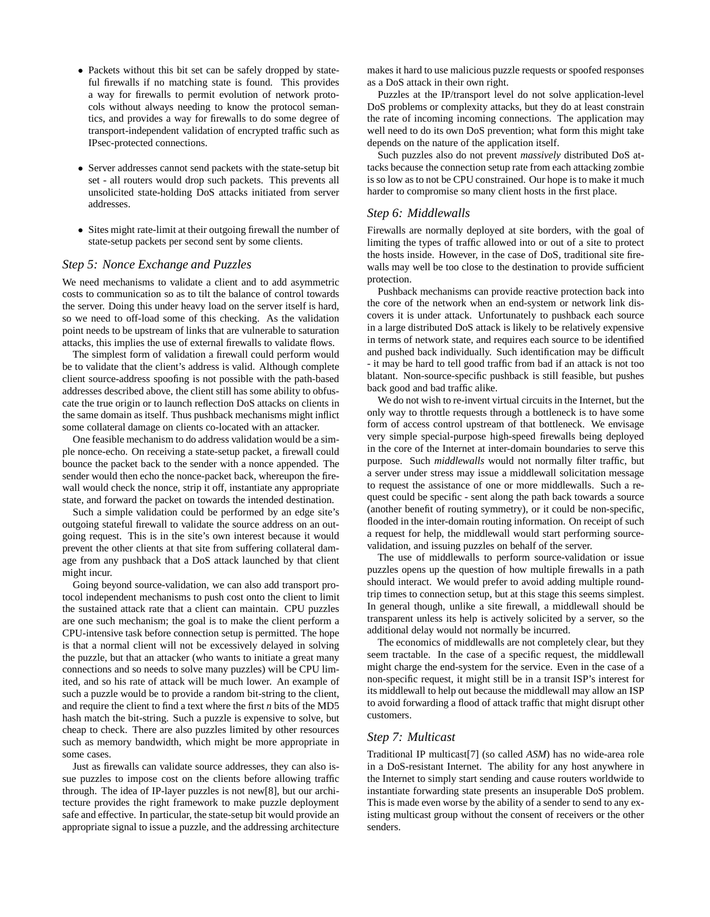- Packets without this bit set can be safely dropped by stateful firewalls if no matching state is found. This provides a way for firewalls to permit evolution of network protocols without always needing to know the protocol semantics, and provides a way for firewalls to do some degree of transport-independent validation of encrypted traffic such as IPsec-protected connections.
- Server addresses cannot send packets with the state-setup bit set - all routers would drop such packets. This prevents all unsolicited state-holding DoS attacks initiated from server addresses.
- Sites might rate-limit at their outgoing firewall the number of state-setup packets per second sent by some clients.

#### *Step 5: Nonce Exchange and Puzzles*

We need mechanisms to validate a client and to add asymmetric costs to communication so as to tilt the balance of control towards the server. Doing this under heavy load on the server itself is hard, so we need to off-load some of this checking. As the validation point needs to be upstream of links that are vulnerable to saturation attacks, this implies the use of external firewalls to validate flows.

The simplest form of validation a firewall could perform would be to validate that the client's address is valid. Although complete client source-address spoofing is not possible with the path-based addresses described above, the client still has some ability to obfuscate the true origin or to launch reflection DoS attacks on clients in the same domain as itself. Thus pushback mechanisms might inflict some collateral damage on clients co-located with an attacker.

One feasible mechanism to do address validation would be a simple nonce-echo. On receiving a state-setup packet, a firewall could bounce the packet back to the sender with a nonce appended. The sender would then echo the nonce-packet back, whereupon the firewall would check the nonce, strip it off, instantiate any appropriate state, and forward the packet on towards the intended destination.

Such a simple validation could be performed by an edge site's outgoing stateful firewall to validate the source address on an outgoing request. This is in the site's own interest because it would prevent the other clients at that site from suffering collateral damage from any pushback that a DoS attack launched by that client might incur.

Going beyond source-validation, we can also add transport protocol independent mechanisms to push cost onto the client to limit the sustained attack rate that a client can maintain. CPU puzzles are one such mechanism; the goal is to make the client perform a CPU-intensive task before connection setup is permitted. The hope is that a normal client will not be excessively delayed in solving the puzzle, but that an attacker (who wants to initiate a great many connections and so needs to solve many puzzles) will be CPU limited, and so his rate of attack will be much lower. An example of such a puzzle would be to provide a random bit-string to the client, and require the client to find a text where the first *n* bits of the MD5 hash match the bit-string. Such a puzzle is expensive to solve, but cheap to check. There are also puzzles limited by other resources such as memory bandwidth, which might be more appropriate in some cases.

Just as firewalls can validate source addresses, they can also issue puzzles to impose cost on the clients before allowing traffic through. The idea of IP-layer puzzles is not new[8], but our architecture provides the right framework to make puzzle deployment safe and effective. In particular, the state-setup bit would provide an appropriate signal to issue a puzzle, and the addressing architecture

makes it hard to use malicious puzzle requests or spoofed responses as a DoS attack in their own right.

Puzzles at the IP/transport level do not solve application-level DoS problems or complexity attacks, but they do at least constrain the rate of incoming incoming connections. The application may well need to do its own DoS prevention; what form this might take depends on the nature of the application itself.

Such puzzles also do not prevent *massively* distributed DoS attacks because the connection setup rate from each attacking zombie is so low as to not be CPU constrained. Our hope is to make it much harder to compromise so many client hosts in the first place.

#### *Step 6: Middlewalls*

Firewalls are normally deployed at site borders, with the goal of limiting the types of traffic allowed into or out of a site to protect the hosts inside. However, in the case of DoS, traditional site firewalls may well be too close to the destination to provide sufficient protection.

Pushback mechanisms can provide reactive protection back into the core of the network when an end-system or network link discovers it is under attack. Unfortunately to pushback each source in a large distributed DoS attack is likely to be relatively expensive in terms of network state, and requires each source to be identified and pushed back individually. Such identification may be difficult - it may be hard to tell good traffic from bad if an attack is not too blatant. Non-source-specific pushback is still feasible, but pushes back good and bad traffic alike.

We do not wish to re-invent virtual circuits in the Internet, but the only way to throttle requests through a bottleneck is to have some form of access control upstream of that bottleneck. We envisage very simple special-purpose high-speed firewalls being deployed in the core of the Internet at inter-domain boundaries to serve this purpose. Such *middlewalls* would not normally filter traffic, but a server under stress may issue a middlewall solicitation message to request the assistance of one or more middlewalls. Such a request could be specific - sent along the path back towards a source (another benefit of routing symmetry), or it could be non-specific, flooded in the inter-domain routing information. On receipt of such a request for help, the middlewall would start performing sourcevalidation, and issuing puzzles on behalf of the server.

The use of middlewalls to perform source-validation or issue puzzles opens up the question of how multiple firewalls in a path should interact. We would prefer to avoid adding multiple roundtrip times to connection setup, but at this stage this seems simplest. In general though, unlike a site firewall, a middlewall should be transparent unless its help is actively solicited by a server, so the additional delay would not normally be incurred.

The economics of middlewalls are not completely clear, but they seem tractable. In the case of a specific request, the middlewall might charge the end-system for the service. Even in the case of a non-specific request, it might still be in a transit ISP's interest for its middlewall to help out because the middlewall may allow an ISP to avoid forwarding a flood of attack traffic that might disrupt other customers.

#### *Step 7: Multicast*

Traditional IP multicast[7] (so called *ASM*) has no wide-area role in a DoS-resistant Internet. The ability for any host anywhere in the Internet to simply start sending and cause routers worldwide to instantiate forwarding state presents an insuperable DoS problem. This is made even worse by the ability of a sender to send to any existing multicast group without the consent of receivers or the other senders.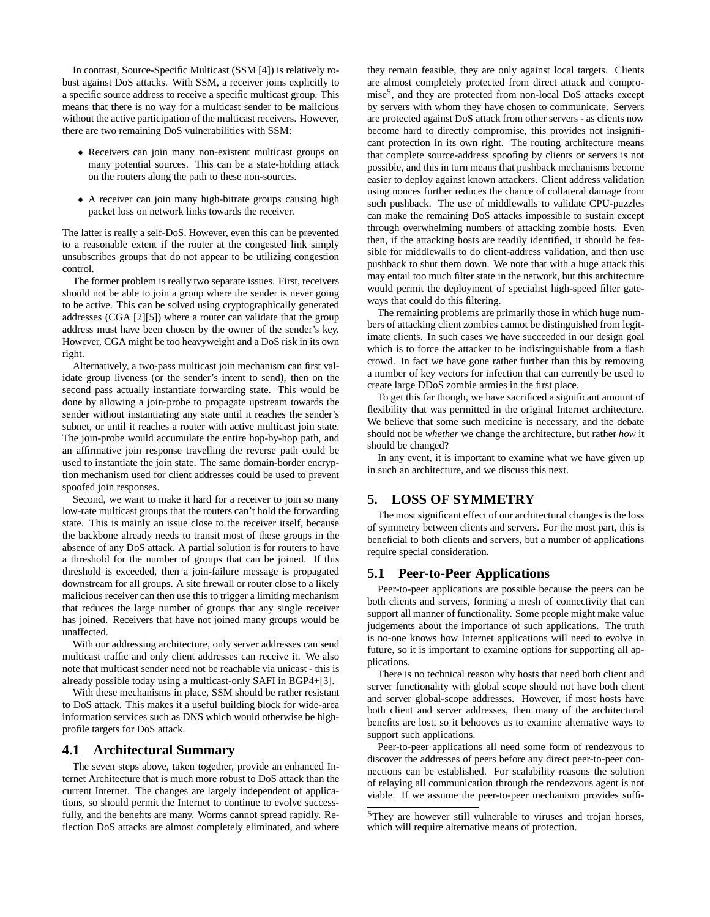In contrast, Source-Specific Multicast (SSM [4]) is relatively robust against DoS attacks. With SSM, a receiver joins explicitly to a specific source address to receive a specific multicast group. This means that there is no way for a multicast sender to be malicious without the active participation of the multicast receivers. However, there are two remaining DoS vulnerabilities with SSM:

- Receivers can join many non-existent multicast groups on many potential sources. This can be a state-holding attack on the routers along the path to these non-sources.
- A receiver can join many high-bitrate groups causing high packet loss on network links towards the receiver.

The latter is really a self-DoS. However, even this can be prevented to a reasonable extent if the router at the congested link simply unsubscribes groups that do not appear to be utilizing congestion control.

The former problem is really two separate issues. First, receivers should not be able to join a group where the sender is never going to be active. This can be solved using cryptographically generated addresses (CGA [2][5]) where a router can validate that the group address must have been chosen by the owner of the sender's key. However, CGA might be too heavyweight and a DoS risk in its own right.

Alternatively, a two-pass multicast join mechanism can first validate group liveness (or the sender's intent to send), then on the second pass actually instantiate forwarding state. This would be done by allowing a join-probe to propagate upstream towards the sender without instantiating any state until it reaches the sender's subnet, or until it reaches a router with active multicast join state. The join-probe would accumulate the entire hop-by-hop path, and an affirmative join response travelling the reverse path could be used to instantiate the join state. The same domain-border encryption mechanism used for client addresses could be used to prevent spoofed join responses.

Second, we want to make it hard for a receiver to join so many low-rate multicast groups that the routers can't hold the forwarding state. This is mainly an issue close to the receiver itself, because the backbone already needs to transit most of these groups in the absence of any DoS attack. A partial solution is for routers to have a threshold for the number of groups that can be joined. If this threshold is exceeded, then a join-failure message is propagated downstream for all groups. A site firewall or router close to a likely malicious receiver can then use this to trigger a limiting mechanism that reduces the large number of groups that any single receiver has joined. Receivers that have not joined many groups would be unaffected.

With our addressing architecture, only server addresses can send multicast traffic and only client addresses can receive it. We also note that multicast sender need not be reachable via unicast - this is already possible today using a multicast-only SAFI in BGP4+[3].

With these mechanisms in place, SSM should be rather resistant to DoS attack. This makes it a useful building block for wide-area information services such as DNS which would otherwise be highprofile targets for DoS attack.

#### **4.1 Architectural Summary**

The seven steps above, taken together, provide an enhanced Internet Architecture that is much more robust to DoS attack than the current Internet. The changes are largely independent of applications, so should permit the Internet to continue to evolve successfully, and the benefits are many. Worms cannot spread rapidly. Reflection DoS attacks are almost completely eliminated, and where

they remain feasible, they are only against local targets. Clients are almost completely protected from direct attack and compromise<sup>5</sup>, and they are protected from non-local DoS attacks except by servers with whom they have chosen to communicate. Servers are protected against DoS attack from other servers - as clients now become hard to directly compromise, this provides not insignificant protection in its own right. The routing architecture means that complete source-address spoofing by clients or servers is not possible, and this in turn means that pushback mechanisms become easier to deploy against known attackers. Client address validation using nonces further reduces the chance of collateral damage from such pushback. The use of middlewalls to validate CPU-puzzles can make the remaining DoS attacks impossible to sustain except through overwhelming numbers of attacking zombie hosts. Even then, if the attacking hosts are readily identified, it should be feasible for middlewalls to do client-address validation, and then use pushback to shut them down. We note that with a huge attack this may entail too much filter state in the network, but this architecture would permit the deployment of specialist high-speed filter gateways that could do this filtering.

The remaining problems are primarily those in which huge numbers of attacking client zombies cannot be distinguished from legitimate clients. In such cases we have succeeded in our design goal which is to force the attacker to be indistinguishable from a flash crowd. In fact we have gone rather further than this by removing a number of key vectors for infection that can currently be used to create large DDoS zombie armies in the first place.

To get this far though, we have sacrificed a significant amount of flexibility that was permitted in the original Internet architecture. We believe that some such medicine is necessary, and the debate should not be *whether* we change the architecture, but rather *how* it should be changed?

In any event, it is important to examine what we have given up in such an architecture, and we discuss this next.

# **5. LOSS OF SYMMETRY**

The most significant effect of our architectural changes isthe loss of symmetry between clients and servers. For the most part, this is beneficial to both clients and servers, but a number of applications require special consideration.

### **5.1 Peer-to-Peer Applications**

Peer-to-peer applications are possible because the peers can be both clients and servers, forming a mesh of connectivity that can support all manner of functionality. Some people might make value judgements about the importance of such applications. The truth is no-one knows how Internet applications will need to evolve in future, so it is important to examine options for supporting all applications.

There is no technical reason why hosts that need both client and server functionality with global scope should not have both client and server global-scope addresses. However, if most hosts have both client and server addresses, then many of the architectural benefits are lost, so it behooves us to examine alternative ways to support such applications.

Peer-to-peer applications all need some form of rendezvous to discover the addresses of peers before any direct peer-to-peer connections can be established. For scalability reasons the solution of relaying all communication through the rendezvous agent is not viable. If we assume the peer-to-peer mechanism provides suffi-

<sup>5</sup>They are however still vulnerable to viruses and trojan horses, which will require alternative means of protection.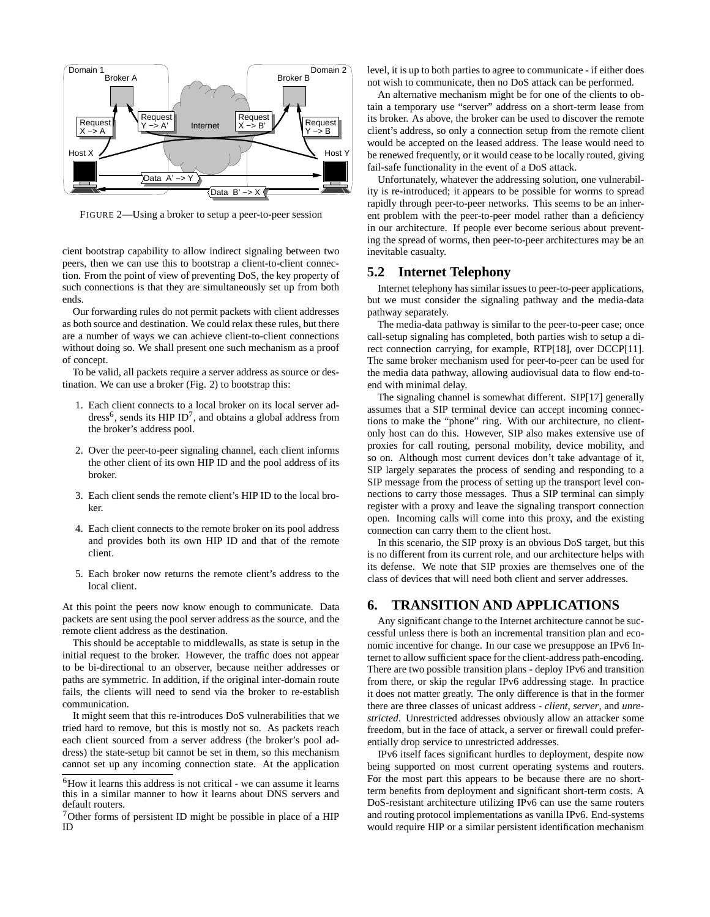

FIGURE 2—Using a broker to setup a peer-to-peer session

cient bootstrap capability to allow indirect signaling between two peers, then we can use this to bootstrap a client-to-client connection. From the point of view of preventing DoS, the key property of such connections is that they are simultaneously set up from both ends.

Our forwarding rules do not permit packets with client addresses as both source and destination. We could relax these rules, but there are a number of ways we can achieve client-to-client connections without doing so. We shall present one such mechanism as a proof of concept.

To be valid, all packets require a server address as source or destination. We can use a broker (Fig. 2) to bootstrap this:

- 1. Each client connects to a local broker on its local server address<sup>6</sup>, sends its HIP ID<sup>7</sup>, and obtains a global address from the broker's address pool.
- 2. Over the peer-to-peer signaling channel, each client informs the other client of its own HIP ID and the pool address of its broker.
- 3. Each client sends the remote client's HIP ID to the local broker.
- 4. Each client connects to the remote broker on its pool address and provides both its own HIP ID and that of the remote client.
- 5. Each broker now returns the remote client's address to the local client.

At this point the peers now know enough to communicate. Data packets are sent using the pool server address as the source, and the remote client address as the destination.

This should be acceptable to middlewalls, as state is setup in the initial request to the broker. However, the traffic does not appear to be bi-directional to an observer, because neither addresses or paths are symmetric. In addition, if the original inter-domain route fails, the clients will need to send via the broker to re-establish communication.

It might seem that this re-introduces DoS vulnerabilities that we tried hard to remove, but this is mostly not so. As packets reach each client sourced from a server address (the broker's pool address) the state-setup bit cannot be set in them, so this mechanism cannot set up any incoming connection state. At the application

level, it is up to both parties to agree to communicate - if either does not wish to communicate, then no DoS attack can be performed.

An alternative mechanism might be for one of the clients to obtain a temporary use "server" address on a short-term lease from its broker. As above, the broker can be used to discover the remote client's address, so only a connection setup from the remote client would be accepted on the leased address. The lease would need to be renewed frequently, or it would cease to be locally routed, giving fail-safe functionality in the event of a DoS attack.

Unfortunately, whatever the addressing solution, one vulnerability is re-introduced; it appears to be possible for worms to spread rapidly through peer-to-peer networks. This seems to be an inherent problem with the peer-to-peer model rather than a deficiency in our architecture. If people ever become serious about preventing the spread of worms, then peer-to-peer architectures may be an inevitable casualty.

# **5.2 Internet Telephony**

Internet telephony has similar issues to peer-to-peer applications, but we must consider the signaling pathway and the media-data pathway separately.

The media-data pathway is similar to the peer-to-peer case; once call-setup signaling has completed, both parties wish to setup a direct connection carrying, for example, RTP[18], over DCCP[11]. The same broker mechanism used for peer-to-peer can be used for the media data pathway, allowing audiovisual data to flow end-toend with minimal delay.

The signaling channel is somewhat different. SIP[17] generally assumes that a SIP terminal device can accept incoming connections to make the "phone" ring. With our architecture, no clientonly host can do this. However, SIP also makes extensive use of proxies for call routing, personal mobility, device mobility, and so on. Although most current devices don't take advantage of it, SIP largely separates the process of sending and responding to a SIP message from the process of setting up the transport level connections to carry those messages. Thus a SIP terminal can simply register with a proxy and leave the signaling transport connection open. Incoming calls will come into this proxy, and the existing connection can carry them to the client host.

In this scenario, the SIP proxy is an obvious DoS target, but this is no different from its current role, and our architecture helps with its defense. We note that SIP proxies are themselves one of the class of devices that will need both client and server addresses.

# **6. TRANSITION AND APPLICATIONS**

Any significant change to the Internet architecture cannot be successful unless there is both an incremental transition plan and economic incentive for change. In our case we presuppose an IPv6 Internet to allow sufficient space for the client-address path-encoding. There are two possible transition plans - deploy IPv6 and transition from there, or skip the regular IPv6 addressing stage. In practice it does not matter greatly. The only difference is that in the former there are three classes of unicast address - *client*, *server*, and *unrestricted*. Unrestricted addresses obviously allow an attacker some freedom, but in the face of attack, a server or firewall could preferentially drop service to unrestricted addresses.

IPv6 itself faces significant hurdles to deployment, despite now being supported on most current operating systems and routers. For the most part this appears to be because there are no shortterm benefits from deployment and significant short-term costs. A DoS-resistant architecture utilizing IPv6 can use the same routers and routing protocol implementations as vanilla IPv6. End-systems would require HIP or a similar persistent identification mechanism

 $<sup>6</sup>$  How it learns this address is not critical - we can assume it learns</sup> this in a similar manner to how it learns about DNS servers and default routers.

<sup>7</sup>Other forms of persistent ID might be possible in place of a HIP ID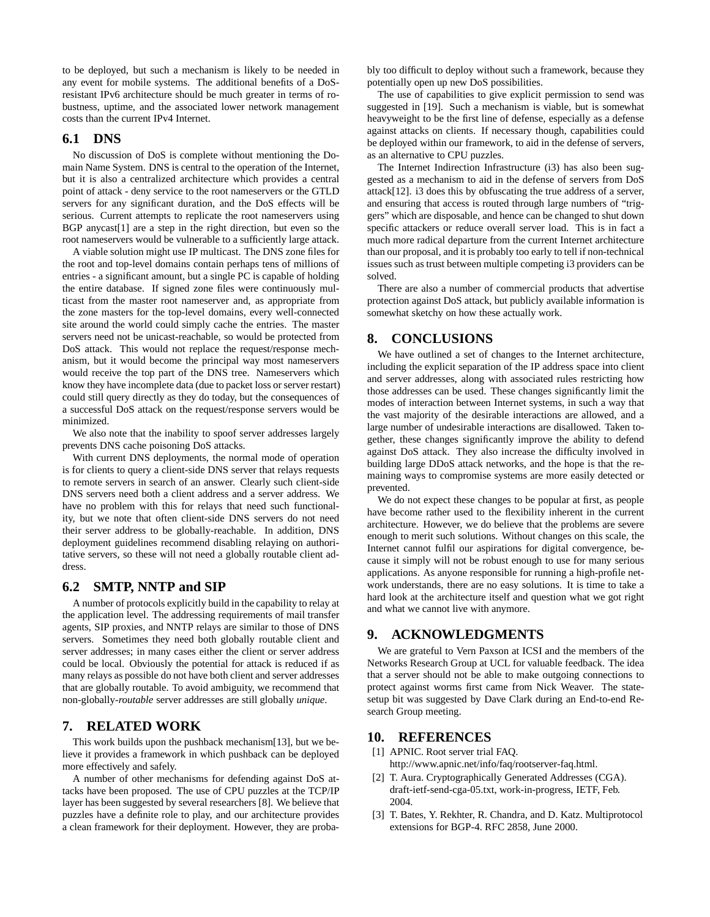to be deployed, but such a mechanism is likely to be needed in any event for mobile systems. The additional benefits of a DoSresistant IPv6 architecture should be much greater in terms of robustness, uptime, and the associated lower network management costs than the current IPv4 Internet.

# **6.1 DNS**

No discussion of DoS is complete without mentioning the Domain Name System. DNS is central to the operation of the Internet, but it is also a centralized architecture which provides a central point of attack - deny service to the root nameservers or the GTLD servers for any significant duration, and the DoS effects will be serious. Current attempts to replicate the root nameservers using BGP anycast[1] are a step in the right direction, but even so the root nameservers would be vulnerable to a sufficiently large attack.

A viable solution might use IP multicast. The DNS zone files for the root and top-level domains contain perhaps tens of millions of entries - a significant amount, but a single PC is capable of holding the entire database. If signed zone files were continuously multicast from the master root nameserver and, as appropriate from the zone masters for the top-level domains, every well-connected site around the world could simply cache the entries. The master servers need not be unicast-reachable, so would be protected from DoS attack. This would not replace the request/response mechanism, but it would become the principal way most nameservers would receive the top part of the DNS tree. Nameservers which know they have incomplete data (due to packet loss or server restart) could still query directly as they do today, but the consequences of a successful DoS attack on the request/response servers would be minimized.

We also note that the inability to spoof server addresses largely prevents DNS cache poisoning DoS attacks.

With current DNS deployments, the normal mode of operation is for clients to query a client-side DNS server that relays requests to remote servers in search of an answer. Clearly such client-side DNS servers need both a client address and a server address. We have no problem with this for relays that need such functionality, but we note that often client-side DNS servers do not need their server address to be globally-reachable. In addition, DNS deployment guidelines recommend disabling relaying on authoritative servers, so these will not need a globally routable client address.

# **6.2 SMTP, NNTP and SIP**

A number of protocols explicitly build in the capability to relay at the application level. The addressing requirements of mail transfer agents, SIP proxies, and NNTP relays are similar to those of DNS servers. Sometimes they need both globally routable client and server addresses; in many cases either the client or server address could be local. Obviously the potential for attack is reduced if as many relays as possible do not have both client and server addresses that are globally routable. To avoid ambiguity, we recommend that non-globally-*routable* server addresses are still globally *unique*.

# **7. RELATED WORK**

This work builds upon the pushback mechanism[13], but we believe it provides a framework in which pushback can be deployed more effectively and safely.

A number of other mechanisms for defending against DoS attacks have been proposed. The use of CPU puzzles at the TCP/IP layer has been suggested by several researchers [8]. We believe that puzzles have a definite role to play, and our architecture provides a clean framework for their deployment. However, they are probably too difficult to deploy without such a framework, because they potentially open up new DoS possibilities.

The use of capabilities to give explicit permission to send was suggested in [19]. Such a mechanism is viable, but is somewhat heavyweight to be the first line of defense, especially as a defense against attacks on clients. If necessary though, capabilities could be deployed within our framework, to aid in the defense of servers, as an alternative to CPU puzzles.

The Internet Indirection Infrastructure (i3) has also been suggested as a mechanism to aid in the defense of servers from DoS attack[12]. i3 does this by obfuscating the true address of a server, and ensuring that access is routed through large numbers of "triggers" which are disposable, and hence can be changed to shut down specific attackers or reduce overall server load. This is in fact a much more radical departure from the current Internet architecture than our proposal, and it is probably too early to tell if non-technical issues such as trust between multiple competing i3 providers can be solved.

There are also a number of commercial products that advertise protection against DoS attack, but publicly available information is somewhat sketchy on how these actually work.

# **8. CONCLUSIONS**

We have outlined a set of changes to the Internet architecture, including the explicit separation of the IP address space into client and server addresses, along with associated rules restricting how those addresses can be used. These changes significantly limit the modes of interaction between Internet systems, in such a way that the vast majority of the desirable interactions are allowed, and a large number of undesirable interactions are disallowed. Taken together, these changes significantly improve the ability to defend against DoS attack. They also increase the difficulty involved in building large DDoS attack networks, and the hope is that the remaining ways to compromise systems are more easily detected or prevented.

We do not expect these changes to be popular at first, as people have become rather used to the flexibility inherent in the current architecture. However, we do believe that the problems are severe enough to merit such solutions. Without changes on this scale, the Internet cannot fulfil our aspirations for digital convergence, because it simply will not be robust enough to use for many serious applications. As anyone responsible for running a high-profile network understands, there are no easy solutions. It is time to take a hard look at the architecture itself and question what we got right and what we cannot live with anymore.

## **9. ACKNOWLEDGMENTS**

We are grateful to Vern Paxson at ICSI and the members of the Networks Research Group at UCL for valuable feedback. The idea that a server should not be able to make outgoing connections to protect against worms first came from Nick Weaver. The statesetup bit was suggested by Dave Clark during an End-to-end Research Group meeting.

## **10. REFERENCES**

- [1] APNIC. Root server trial FAQ. http://www.apnic.net/info/faq/rootserver-faq.html.
- [2] T. Aura. Cryptographically Generated Addresses (CGA). draft-ietf-send-cga-05.txt, work-in-progress, IETF, Feb. 2004.
- [3] T. Bates, Y. Rekhter, R. Chandra, and D. Katz. Multiprotocol extensions for BGP-4. RFC 2858, June 2000.